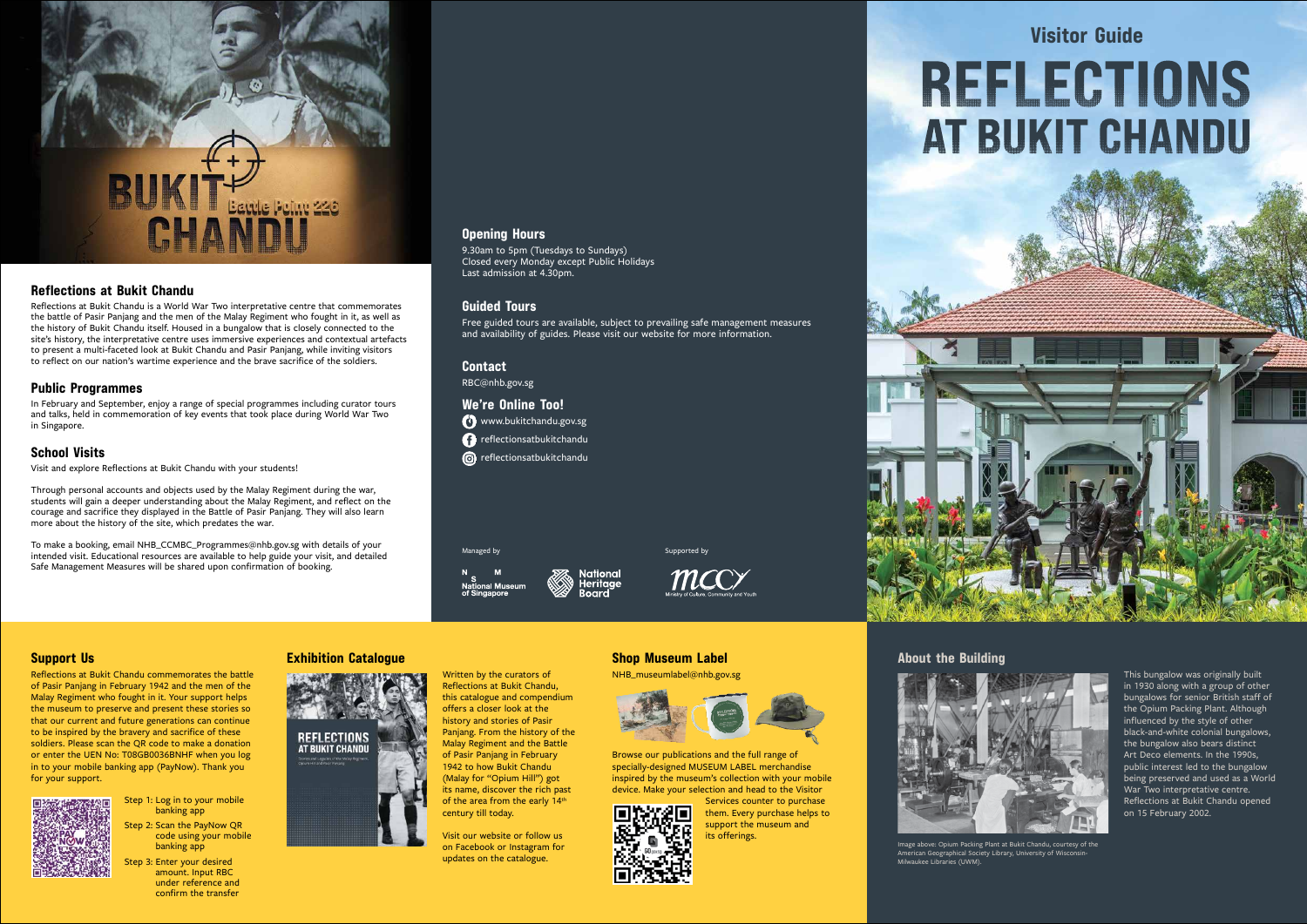### **Opening Hours**

9.30am to 5pm (Tuesdays to Sundays) Closed every Monday except Public Holidays Last admission at 4.30pm.

### **Guided Tours**

Free guided tours are available, subject to prevailing safe management measures and availability of guides. Please visit our website for more information.

### **Contact**

RBC@nhb.gov.sg

**We're Online Too!**

www.bukitchandu.gov.sg

**f** reflectionsatbukitchandu **n** reflectionsatbukitchandu

Managed by Supported by Supported by Supported by Supported by Supported by Supported by Supported by Supported by Supported by Supported by Supported by Supported by Supported by Supported by Supported by Supported by Sup

# **BUKTE** BOOK

### **Reflections at Bukit Chandu**

Reflections at Bukit Chandu is a World War Two interpretative centre that commemorates the battle of Pasir Panjang and the men of the Malay Regiment who fought in it, as well as the history of Bukit Chandu itself. Housed in a bungalow that is closely connected to the site's history, the interpretative centre uses immersive experiences and contextual artefacts to present a multi-faceted look at Bukit Chandu and Pasir Panjang, while inviting visitors to reflect on our nation's wartime experience and the brave sacrifice of the soldiers.

### **Public Programmes**

In February and September, enjoy a range of special programmes including curator tours and talks, held in commemoration of key events that took place during World War Two in Singapore.

### **School Visits**

Visit and explore Reflections at Bukit Chandu with your students!

Through personal accounts and objects used by the Malay Regiment during the war, students will gain a deeper understanding about the Malay Regiment, and reflect on the courage and sacrifice they displayed in the Battle of Pasir Panjang. They will also learn more about the history of the site, which predates the war.

To make a booking, email NHB\_CCMBC\_Programmes@nhb.gov.sg with details of your intended visit. Educational resources are available to help guide your visit, and detailed Safe Management Measures will be shared upon confirmation of booking.

> Written by the curators of Reflections at Bukit Chandu, this catalogue and compendium offers a closer look at the history and stories of Pasir Panjang. From the history of the Malay Regiment and the Battle of Pasir Panjang in February 1942 to how Bukit Chandu (Malay for "Opium Hill") got its name, discover the rich past of the area from the early 14<sup>th</sup>





This bungalow was originally built in 1930 along with a group of other bungalows for senior British staff of the Opium Packing Plant. Although influenced by the style of other black-and-white colonial bungalows, the bungalow also bears distinct Art Deco elements. In the 1990s, public interest led to the bungalow being preserved and used as a World War Two interpretative centre. Reflections at Bukit Chandu opened on 15 February 2002.



Image above: Opium Packing Plant at Bukit Chandu, courtesy of the American Geographical Society Library, University of Wisconsin-

Milwaukee Libraries (UWM).

### **Support Us**

Reflections at Bukit Chandu commemorates the battle of Pasir Panjang in February 1942 and the men of the Malay Regiment who fought in it. Your support helps the museum to preserve and present these stories so that our current and future generations can continue to be inspired by the bravery and sacrifice of these soldiers. Please scan the QR code to make a donation or enter the UEN No: T08GB0036BNHF when you log in to your mobile banking app (PayNow). Thank you for your support.



# Step 1: Log in to your mobile banking app

Step 2: Scan the PayNow QR code using your mobile banking app

Step 3: Enter your desired amount. Input RBC under reference and confirm the transfer

# **Shop Museum Label**

NHB\_museumlabel@nhb.gov.sg



Browse our publications and the full range of specially-designed MUSEUM LABEL merchandise inspired by the museum's collection with your mobile device. Make your selection and head to the Visitor



Services counter to purchase them. Every purchase helps to support the museum and its offerings.

### **Exhibition Catalogue**



century till today.

Visit our website or follow us on Facebook or Instagram for updates on the catalogue.